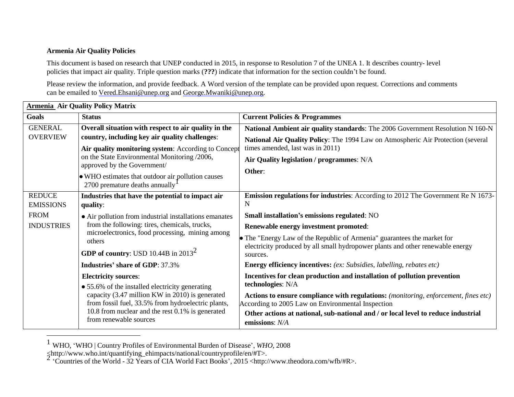## **Armenia Air Quality Policies**

This document is based on research that UNEP conducted in 2015, in response to Resolution 7 of the UNEA 1. It describes country- level policies that impact air quality. Triple question marks (**???**) indicate that information for the section couldn't be found.

Please review the information, and provide feedback. A Word version of the template can be provided upon request. Corrections and comments can be emailed to [Vered.Ehsani@unep.org](mailto:Vered.Ehsani@unep.org) and [George.Mwaniki@unep.org.](mailto:George.Mwaniki@unep.org)

| <b>Armenia Air Quality Policy Matrix</b> |                                                                                                                                                                                                                                        |                                                                                                                                          |  |  |
|------------------------------------------|----------------------------------------------------------------------------------------------------------------------------------------------------------------------------------------------------------------------------------------|------------------------------------------------------------------------------------------------------------------------------------------|--|--|
| Goals                                    | <b>Status</b>                                                                                                                                                                                                                          | <b>Current Policies &amp; Programmes</b>                                                                                                 |  |  |
| <b>GENERAL</b>                           | Overall situation with respect to air quality in the                                                                                                                                                                                   | National Ambient air quality standards: The 2006 Government Resolution N 160-N                                                           |  |  |
| <b>OVERVIEW</b>                          | country, including key air quality challenges:                                                                                                                                                                                         | National Air Quality Policy: The 1994 Law on Atmospheric Air Protection (several                                                         |  |  |
|                                          | Air quality monitoring system: According to Concept                                                                                                                                                                                    | times amended, last was in 2011)                                                                                                         |  |  |
|                                          | on the State Environmental Monitoring /2006,<br>approved by the Government/                                                                                                                                                            | Air Quality legislation / programmes: N/A                                                                                                |  |  |
|                                          | • WHO estimates that outdoor air pollution causes<br>2700 premature deaths annually                                                                                                                                                    | Other:                                                                                                                                   |  |  |
| <b>REDUCE</b>                            | Industries that have the potential to impact air                                                                                                                                                                                       | <b>Emission regulations for industries:</b> According to 2012 The Government Re N 1673-                                                  |  |  |
| <b>EMISSIONS</b>                         | quality:                                                                                                                                                                                                                               | N                                                                                                                                        |  |  |
| <b>FROM</b>                              | • Air pollution from industrial installations emanates                                                                                                                                                                                 | Small installation's emissions regulated: NO                                                                                             |  |  |
| <b>INDUSTRIES</b>                        | from the following: tires, chemicals, trucks,                                                                                                                                                                                          | Renewable energy investment promoted:                                                                                                    |  |  |
|                                          | microelectronics, food processing, mining among<br>others                                                                                                                                                                              | • The "Energy Law of the Republic of Armenia" guarantees the market for                                                                  |  |  |
|                                          | <b>GDP of country:</b> USD 10.44B in $2013^2$                                                                                                                                                                                          | electricity produced by all small hydropower plants and other renewable energy<br>sources.                                               |  |  |
|                                          | <b>Industries' share of GDP: 37.3%</b>                                                                                                                                                                                                 | Energy efficiency incentives: (ex: Subsidies, labelling, rebates etc)                                                                    |  |  |
|                                          | <b>Electricity sources:</b>                                                                                                                                                                                                            | Incentives for clean production and installation of pollution prevention                                                                 |  |  |
|                                          | • 55.6% of the installed electricity generating<br>capacity (3.47 million KW in 2010) is generated<br>from fossil fuel, 33.5% from hydroelectric plants,<br>10.8 from nuclear and the rest 0.1% is generated<br>from renewable sources | technologies: N/A                                                                                                                        |  |  |
|                                          |                                                                                                                                                                                                                                        | Actions to ensure compliance with regulations: (monitoring, enforcement, fines etc)<br>According to 2005 Law on Environmental Inspection |  |  |
|                                          |                                                                                                                                                                                                                                        | Other actions at national, sub-national and / or local level to reduce industrial                                                        |  |  |
|                                          |                                                                                                                                                                                                                                        | emissions: N/A                                                                                                                           |  |  |

<sup>1</sup> WHO, 'WHO <sup>|</sup> Country Profiles of Environmental Burden of Disease', *WHO*, <sup>2008</sup>

Antip://www.who.int/quantifying\_ehimpacts/national/countryprofile/en/#T>.<br>
<sup>2</sup> 'Countries of the World - 32 Years of CIA World Fact Books', 2015 [<http://www.theodora.com/wfb/#R>.](http://www.theodora.com/wfb/#R)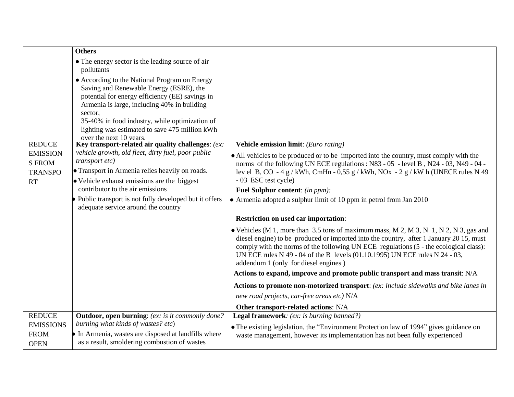|                                                          | <b>Others</b>                                                                                                                                                                                                                                                                                                                        |                                                                                                                                                                                                                                                                                                                                                                                                                                                                                                                                                                                                                                                                                                                               |
|----------------------------------------------------------|--------------------------------------------------------------------------------------------------------------------------------------------------------------------------------------------------------------------------------------------------------------------------------------------------------------------------------------|-------------------------------------------------------------------------------------------------------------------------------------------------------------------------------------------------------------------------------------------------------------------------------------------------------------------------------------------------------------------------------------------------------------------------------------------------------------------------------------------------------------------------------------------------------------------------------------------------------------------------------------------------------------------------------------------------------------------------------|
|                                                          | • The energy sector is the leading source of air<br>pollutants                                                                                                                                                                                                                                                                       |                                                                                                                                                                                                                                                                                                                                                                                                                                                                                                                                                                                                                                                                                                                               |
|                                                          | • According to the National Program on Energy<br>Saving and Renewable Energy (ESRE), the<br>potential for energy efficiency (EE) savings in<br>Armenia is large, including 40% in building<br>sector,<br>35-40% in food industry, while optimization of<br>lighting was estimated to save 475 million kWh<br>over the next 10 years. |                                                                                                                                                                                                                                                                                                                                                                                                                                                                                                                                                                                                                                                                                                                               |
| <b>REDUCE</b>                                            | Key transport-related air quality challenges: (ex:                                                                                                                                                                                                                                                                                   | Vehicle emission limit: (Euro rating)                                                                                                                                                                                                                                                                                                                                                                                                                                                                                                                                                                                                                                                                                         |
| <b>EMISSION</b><br><b>S FROM</b><br><b>TRANSPO</b><br>RT | vehicle growth, old fleet, dirty fuel, poor public<br>transport etc)<br>• Transport in Armenia relies heavily on roads.<br>• Vehicle exhaust emissions are the biggest<br>contributor to the air emissions<br>Public transport is not fully developed but it offers<br>adequate service around the country                           | • All vehicles to be produced or to be imported into the country, must comply with the<br>norms of the following UN ECE regulations : N83 - 05 - level B, N24 - 03, N49 - 04 -<br>lev el B, CO - 4 g/kWh, CmHn - 0,55 g/kWh, NOx - 2 g/kW h (UNECE rules N 49<br>- 03 ESC test cycle)<br>Fuel Sulphur content: (in ppm):<br>• Armenia adopted a sulphur limit of 10 ppm in petrol from Jan $2010$<br><b>Restriction on used car importation:</b><br>• Vehicles (M 1, more than 3.5 tons of maximum mass, M 2, M 3, N 1, N 2, N 3, gas and<br>diesel engine) to be produced or imported into the country, after 1 January 20 15, must<br>comply with the norms of the following UN ECE regulations (5 - the ecological class): |
|                                                          |                                                                                                                                                                                                                                                                                                                                      | UN ECE rules N 49 - 04 of the B levels (01.10.1995) UN ECE rules N 24 - 03,<br>addendum 1 (only for diesel engines)                                                                                                                                                                                                                                                                                                                                                                                                                                                                                                                                                                                                           |
|                                                          |                                                                                                                                                                                                                                                                                                                                      | Actions to expand, improve and promote public transport and mass transit: N/A                                                                                                                                                                                                                                                                                                                                                                                                                                                                                                                                                                                                                                                 |
|                                                          |                                                                                                                                                                                                                                                                                                                                      | Actions to promote non-motorized transport: (ex: include sidewalks and bike lanes in                                                                                                                                                                                                                                                                                                                                                                                                                                                                                                                                                                                                                                          |
|                                                          |                                                                                                                                                                                                                                                                                                                                      | new road projects, car-free areas etc) N/A                                                                                                                                                                                                                                                                                                                                                                                                                                                                                                                                                                                                                                                                                    |
|                                                          |                                                                                                                                                                                                                                                                                                                                      | Other transport-related actions: N/A                                                                                                                                                                                                                                                                                                                                                                                                                                                                                                                                                                                                                                                                                          |
| <b>REDUCE</b>                                            | <b>Outdoor, open burning:</b> (ex: is it commonly done?                                                                                                                                                                                                                                                                              | Legal framework: (ex: is burning banned?)                                                                                                                                                                                                                                                                                                                                                                                                                                                                                                                                                                                                                                                                                     |
| <b>EMISSIONS</b><br><b>FROM</b>                          | burning what kinds of wastes? etc)<br>In Armenia, wastes are disposed at landfills where                                                                                                                                                                                                                                             | • The existing legislation, the "Environment Protection law of 1994" gives guidance on<br>waste management, however its implementation has not been fully experienced                                                                                                                                                                                                                                                                                                                                                                                                                                                                                                                                                         |
| <b>OPEN</b>                                              | as a result, smoldering combustion of wastes                                                                                                                                                                                                                                                                                         |                                                                                                                                                                                                                                                                                                                                                                                                                                                                                                                                                                                                                                                                                                                               |